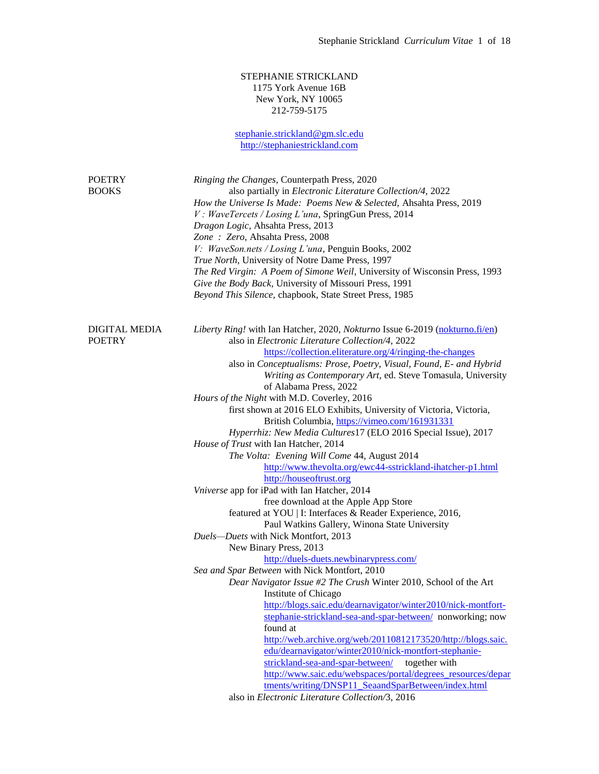## STEPHANIE STRICKLAND 1175 York Avenue 16B New York, NY 10065 212-759-5175

[stephanie.strickland@gm.slc.edu](mailto:stephanie.strickland@gm.slc.edu) [http://stephaniestrickland.com](http://stephaniestrickland.com/) POETRY *Ringing the Changes,* Counterpath Press, 2020 BOOKS also partially in *Electronic Literature Collection/4*, 2022 *How the Universe Is Made: Poems New & Selected,* Ahsahta Press, 2019 *V : WaveTercets / Losing L'una*, SpringGun Press, 2014 *Dragon Logic*, Ahsahta Press, 2013 *Zone : Zero,* Ahsahta Press, 2008 *V: WaveSon.nets / Losing L'una*, Penguin Books, 2002 *True North*, University of Notre Dame Press, 1997 *The Red Virgin: A Poem of Simone Weil*, University of Wisconsin Press, 1993 *Give the Body Back*, University of Missouri Press, 1991 *Beyond This Silence,* chapbook, State Street Press, 1985 DIGITAL MEDIA *Liberty Ring!* with Ian Hatcher, 2020, *Nokturno* Issue 6-2019 [\(nokturno.fi/en\)](http://nokturno.fi/en) POETRY also in *Electronic Literature Collection/4*, 2022 <https://collection.eliterature.org/4/ringing-the-changes> also in *Conceptualisms: Prose, Poetry, Visual, Found, E- and Hybrid Writing as Contemporary Art,* ed. Steve Tomasula, University of Alabama Press, 2022 *Hours of the Night* with M.D. Coverley, 2016 first shown at 2016 ELO Exhibits, University of Victoria, Victoria, British Columbia, <https://vimeo.com/161931331> *Hyperrhiz: New Media Cultures*17 (ELO 2016 Special Issue), 2017 *House of Trust* with Ian Hatcher, 2014 *The Volta: Evening Will Come* 44, August 2014 <http://www.thevolta.org/ewc44-sstrickland-ihatcher-p1.html> [http://houseoftrust.org](http://houseoftrust.org/) *Vniverse* app for iPad with Ian Hatcher, 2014 free download at the Apple App Store featured at YOU | I: Interfaces & Reader Experience, 2016, Paul Watkins Gallery, Winona State University *Duels—Duets* with Nick Montfort, 2013 New Binary Press, 2013 <http://duels-duets.newbinarypress.com/> *Sea and Spar Between* with Nick Montfort, 2010 *Dear Navigator Issue #2 The Crush* Winter 2010*,* School of the Art Institute of Chicago [http://blogs.saic.edu/dearnavigator/winter2010/nick-montfort](http://blogs.saic.edu/dearnavigator/winter2010/nick-montfort-stephanie-strickland-sea-and-spar-between/)[stephanie-strickland-sea-and-spar-between/](http://blogs.saic.edu/dearnavigator/winter2010/nick-montfort-stephanie-strickland-sea-and-spar-between/) nonworking; now found at [http://web.archive.org/web/20110812173520/http://blogs.saic.](http://web.archive.org/web/20110812173520/http:/blogs.saic.edu/dearnavigator/winter2010/nick-montfort-stephanie-strickland-sea-and-spar-between/) [edu/dearnavigator/winter2010/nick-montfort-stephanie](http://web.archive.org/web/20110812173520/http:/blogs.saic.edu/dearnavigator/winter2010/nick-montfort-stephanie-strickland-sea-and-spar-between/)[strickland-sea-and-spar-between/](http://web.archive.org/web/20110812173520/http:/blogs.saic.edu/dearnavigator/winter2010/nick-montfort-stephanie-strickland-sea-and-spar-between/) together with [http://www.saic.edu/webspaces/portal/degrees\\_resources/depar](http://www.saic.edu/webspaces/portal/degrees_resources/departments/writing/DNSP11_SeaandSparBetween/index.html) [tments/writing/DNSP11\\_SeaandSparBetween/index.html](http://www.saic.edu/webspaces/portal/degrees_resources/departments/writing/DNSP11_SeaandSparBetween/index.html) also in *Electronic Literature Collection/*3, 2016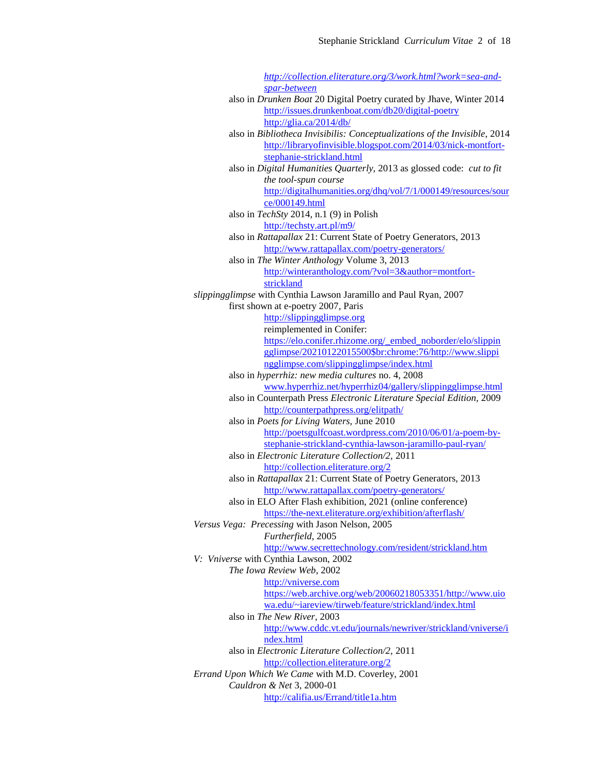*[http://collection.eliterature.org/3/work.html?work=sea-and](http://collection.eliterature.org/3/work.html?work=sea-and-spar-between)[spar-between](http://collection.eliterature.org/3/work.html?work=sea-and-spar-between)* also in *Drunken Boat* 20 Digital Poetry curated by Jhave, Winter 2014 <http://issues.drunkenboat.com/db20/digital-poetry> <http://glia.ca/2014/db/> also in *Bibliotheca Invisibilis: Conceptualizations of the Invisible*, 2014 [http://libraryofinvisible.blogspot.com/2014/03/nick-montfort](http://libraryofinvisible.blogspot.com/2014/03/nick-montfort-stephanie-strickland.html)[stephanie-strickland.html](http://libraryofinvisible.blogspot.com/2014/03/nick-montfort-stephanie-strickland.html) also in *Digital Humanities Quarterly,* 2013 as glossed code: *cut to fit the tool-spun course* [http://digitalhumanities.org/dhq/vol/7/1/000149/resources/sour](http://digitalhumanities.org/dhq/vol/7/1/000149/resources/source/000149.html) [ce/000149.html](http://digitalhumanities.org/dhq/vol/7/1/000149/resources/source/000149.html) also in *TechSty* 2014, n.1 (9) in Polish <http://techsty.art.pl/m9/> also in *Rattapallax* 21: Current State of Poetry Generators, 2013 <http://www.rattapallax.com/poetry-generators/> also in *The Winter Anthology* Volume 3, 2013 [http://winteranthology.com/?vol=3&author=montfort](http://winteranthology.com/?vol=3&author=montfort-strickland)[strickland](http://winteranthology.com/?vol=3&author=montfort-strickland) *slippingglimpse* with Cynthia Lawson Jaramillo and Paul Ryan, 2007 first shown at e-poetry 2007, Paris [http://slippingglimpse.org](http://slippingglimpse.org/) reimplemented in Conifer: [https://elo.conifer.rhizome.org/\\_embed\\_noborder/elo/slippin](https://elo.conifer.rhizome.org/_embed_noborder/elo/slippingglimpse/20210122015500$br:chrome:76/http:/www.slippingglimpse.com/slippingglimpse/index.html) [gglimpse/20210122015500\\$br:chrome:76/http://www.slippi](https://elo.conifer.rhizome.org/_embed_noborder/elo/slippingglimpse/20210122015500$br:chrome:76/http:/www.slippingglimpse.com/slippingglimpse/index.html) [ngglimpse.com/slippingglimpse/index.html](https://elo.conifer.rhizome.org/_embed_noborder/elo/slippingglimpse/20210122015500$br:chrome:76/http:/www.slippingglimpse.com/slippingglimpse/index.html) also in *hyperrhiz: new media cultures* no. 4, 2008 [www.hyperrhiz.net/hyperrhiz04/gallery/slippingglimpse.html](http://www.hyperrhiz.net/hyperrhiz04/gallery/slippingglimpse.html) also in Counterpath Press *Electronic Literature Special Edition,* 2009 <http://counterpathpress.org/elitpath/> also in *Poets for Living Waters,* June 2010 [http://poetsgulfcoast.wordpress.com/2010/06/01/a-poem-by](http://poetsgulfcoast.wordpress.com/2010/06/01/a-poem-by-stephanie-strickland-cynthia-lawson-jaramillo-paul-ryan/)[stephanie-strickland-cynthia-lawson-jaramillo-paul-ryan/](http://poetsgulfcoast.wordpress.com/2010/06/01/a-poem-by-stephanie-strickland-cynthia-lawson-jaramillo-paul-ryan/) also in *Electronic Literature Collection/2,* 2011 <http://collection.eliterature.org/2> also in *Rattapallax* 21: Current State of Poetry Generators, 2013 <http://www.rattapallax.com/poetry-generators/> also in ELO After Flash exhibition, 2021 (online conference) <https://the-next.eliterature.org/exhibition/afterflash/> *Versus Vega: Precessing* with Jason Nelson, 2005 *Furtherfield*, 2005 <http://www.secrettechnology.com/resident/strickland.htm> *V: Vniverse* with Cynthia Lawson, 2002 *The Iowa Review Web*, 2002 [http://vniverse.com](http://vniverse.com/) [https://web.archive.org/web/20060218053351/http://www.uio](https://web.archive.org/web/20060218053351/http:/www.uiowa.edu/~iareview/tirweb/feature/strickland/index.html) [wa.edu/~iareview/tirweb/feature/strickland/index.html](https://web.archive.org/web/20060218053351/http:/www.uiowa.edu/~iareview/tirweb/feature/strickland/index.html) also in *The New River*, 2003 [http://www.cddc.vt.edu/journals/newriver/strickland/vniverse/i](http://www.cddc.vt.edu/journals/newriver/strickland/vniverse/index.html) [ndex.html](http://www.cddc.vt.edu/journals/newriver/strickland/vniverse/index.html) also in *Electronic Literature Collection/2,* 2011 <http://collection.eliterature.org/2> *Errand Upon Which We Came* with M.D. Coverley, 2001 *Cauldron & Net* 3, 2000-01 <http://califia.us/Errand/title1a.htm>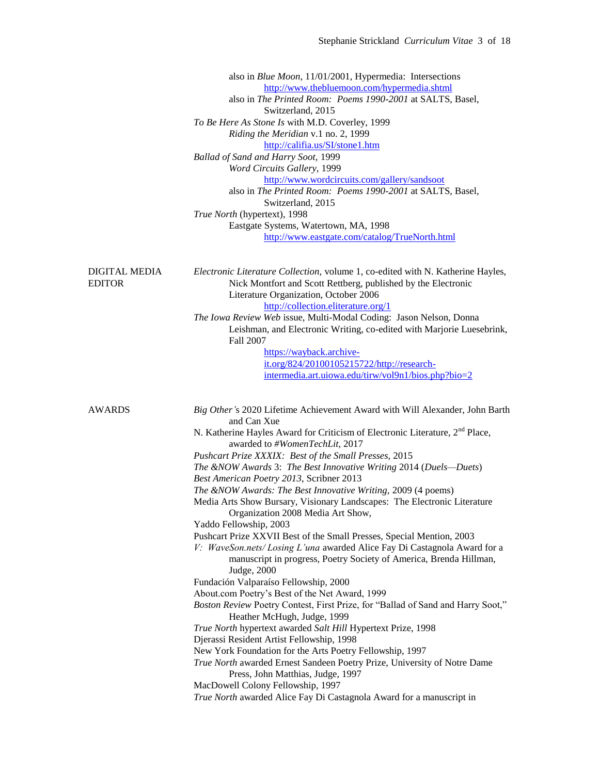|                                       | also in <i>Blue Moon</i> , 11/01/2001, Hypermedia: Intersections                                                                                  |
|---------------------------------------|---------------------------------------------------------------------------------------------------------------------------------------------------|
|                                       | http://www.thebluemoon.com/hypermedia.shtml                                                                                                       |
|                                       | also in The Printed Room: Poems 1990-2001 at SALTS, Basel,                                                                                        |
|                                       | Switzerland, 2015                                                                                                                                 |
|                                       | To Be Here As Stone Is with M.D. Coverley, 1999                                                                                                   |
|                                       | Riding the Meridian v.1 no. 2, 1999                                                                                                               |
|                                       | http://califia.us/SI/stone1.htm                                                                                                                   |
|                                       | Ballad of Sand and Harry Soot, 1999                                                                                                               |
|                                       | Word Circuits Gallery, 1999                                                                                                                       |
|                                       | http://www.wordcircuits.com/gallery/sandsoot                                                                                                      |
|                                       | also in The Printed Room: Poems 1990-2001 at SALTS, Basel,                                                                                        |
|                                       | Switzerland, 2015                                                                                                                                 |
|                                       | True North (hypertext), 1998                                                                                                                      |
|                                       | Eastgate Systems, Watertown, MA, 1998                                                                                                             |
|                                       | http://www.eastgate.com/catalog/TrueNorth.html                                                                                                    |
| <b>DIGITAL MEDIA</b><br><b>EDITOR</b> | Electronic Literature Collection, volume 1, co-edited with N. Katherine Hayles,<br>Nick Montfort and Scott Rettberg, published by the Electronic  |
|                                       | Literature Organization, October 2006                                                                                                             |
|                                       | http://collection.eliterature.org/1                                                                                                               |
|                                       | The Iowa Review Web issue, Multi-Modal Coding: Jason Nelson, Donna                                                                                |
|                                       | Leishman, and Electronic Writing, co-edited with Marjorie Luesebrink,<br>Fall 2007                                                                |
|                                       | https://wayback.archive-                                                                                                                          |
|                                       | it.org/824/20100105215722/http://research-                                                                                                        |
|                                       | intermedia.art.uiowa.edu/tirw/vol9n1/bios.php?bio=2                                                                                               |
|                                       |                                                                                                                                                   |
| <b>AWARDS</b>                         | Big Other's 2020 Lifetime Achievement Award with Will Alexander, John Barth                                                                       |
|                                       | and Can Xue<br>N. Katherine Hayles Award for Criticism of Electronic Literature, 2 <sup>nd</sup> Place,                                           |
|                                       | awarded to #WomenTechLit, 2017                                                                                                                    |
|                                       | Pushcart Prize XXXIX: Best of the Small Presses, 2015                                                                                             |
|                                       | The &NOW Awards 3: The Best Innovative Writing 2014 (Duels-Duets)                                                                                 |
|                                       | Best American Poetry 2013, Scribner 2013                                                                                                          |
|                                       | The &NOW Awards: The Best Innovative Writing, 2009 (4 poems)                                                                                      |
|                                       | Media Arts Show Bursary, Visionary Landscapes: The Electronic Literature                                                                          |
|                                       | Organization 2008 Media Art Show,                                                                                                                 |
|                                       | Yaddo Fellowship, 2003                                                                                                                            |
|                                       | Pushcart Prize XXVII Best of the Small Presses, Special Mention, 2003<br>V: WaveSon.nets/Losing L'una awarded Alice Fay Di Castagnola Award for a |
|                                       | manuscript in progress, Poetry Society of America, Brenda Hillman,<br>Judge, 2000                                                                 |
|                                       | Fundación Valparaíso Fellowship, 2000                                                                                                             |
|                                       | About.com Poetry's Best of the Net Award, 1999                                                                                                    |
|                                       | Boston Review Poetry Contest, First Prize, for "Ballad of Sand and Harry Soot,"<br>Heather McHugh, Judge, 1999                                    |
|                                       | True North hypertext awarded Salt Hill Hypertext Prize, 1998                                                                                      |
|                                       | Djerassi Resident Artist Fellowship, 1998                                                                                                         |
|                                       | New York Foundation for the Arts Poetry Fellowship, 1997                                                                                          |
|                                       | True North awarded Ernest Sandeen Poetry Prize, University of Notre Dame                                                                          |
|                                       | Press, John Matthias, Judge, 1997                                                                                                                 |
|                                       | MacDowell Colony Fellowship, 1997                                                                                                                 |
|                                       | True North awarded Alice Fay Di Castagnola Award for a manuscript in                                                                              |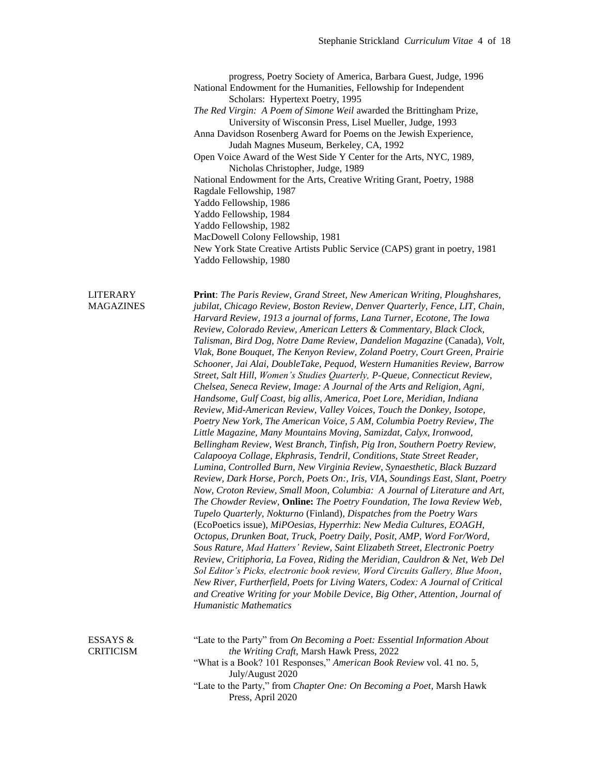progress, Poetry Society of America, Barbara Guest, Judge, 1996 National Endowment for the Humanities, Fellowship for Independent Scholars: Hypertext Poetry, 1995 *The Red Virgin: A Poem of Simone Weil* awarded the Brittingham Prize, University of Wisconsin Press, Lisel Mueller, Judge, 1993 Anna Davidson Rosenberg Award for Poems on the Jewish Experience, Judah Magnes Museum, Berkeley, CA, 1992 Open Voice Award of the West Side Y Center for the Arts, NYC, 1989, Nicholas Christopher, Judge, 1989 National Endowment for the Arts, Creative Writing Grant, Poetry, 1988 Ragdale Fellowship, 1987 Yaddo Fellowship, 1986 Yaddo Fellowship, 1984 Yaddo Fellowship, 1982 MacDowell Colony Fellowship, 1981 New York State Creative Artists Public Service (CAPS) grant in poetry, 1981 Yaddo Fellowship, 1980

LITERARY **Print**: *The Paris Review, Grand Street, New American Writing, Ploughshares,*  MAGAZINES *jubilat, Chicago Review, Boston Review, Denver Quarterly, Fence, LIT, Chain, Harvard Review, 1913 a journal of forms, Lana Turner, Ecotone, The Iowa Review, Colorado Review, American Letters & Commentary, Black Clock, Talisman, Bird Dog, Notre Dame Review, Dandelion Magazine* (Canada)*, Volt, Vlak, Bone Bouquet, The Kenyon Review, Zoland Poetry, Court Green, Prairie Schooner, Jai Alai, DoubleTake, Pequod, Western Humanities Review, Barrow Street, Salt Hill, Women's Studies Quarterly, P-Queue, Connecticut Review, Chelsea, Seneca Review, Image: A Journal of the Arts and Religion, Agni, Handsome, Gulf Coast, big allis, America, Poet Lore, Meridian, Indiana Review, Mid-American Review, Valley Voices, Touch the Donkey, Isotope, Poetry New York, The American Voice, 5 AM, Columbia Poetry Review, The Little Magazine, Many Mountains Moving, Samizdat, Calyx, Ironwood, Bellingham Review, West Branch, Tinfish, Pig Iron, Southern Poetry Review, Calapooya Collage, Ekphrasis, Tendril, Conditions, State Street Reader, Lumina, Controlled Burn, New Virginia Review, Synaesthetic, Black Buzzard Review, Dark Horse, Porch, Poets On:, Iris, VIA, Soundings East, Slant, Poetry Now, Croton Review, Small Moon, Columbia: A Journal of Literature and Art, The Chowder Review,* **Online:** *The Poetry Foundation, The Iowa Review Web, Tupelo Quarterly, Nokturno* (Finland)*, Dispatches from the Poetry Wars*  (EcoPoetics issue)*, MiPOesias, Hyperrhiz*: *New Media Cultures, EOAGH, Octopus, Drunken Boat, Truck, Poetry Daily, Posit, AMP, Word For/Word, Sous Rature, Mad Hatters' Review, Saint Elizabeth Street*, *Electronic Poetry Review, Critiphoria, La Fovea, Riding the Meridian, Cauldron & Net, Web Del Sol Editor's Picks, electronic book review, Word Circuits Gallery, Blue Moon*, *New River, Furtherfield, Poets for Living Waters, Codex: A Journal of Critical and Creative Writing for your Mobile Device, Big Other, Attention, Journal of Humanistic Mathematics*

ESSAYS & "Late to the Party" from *On Becoming a Poet: Essential Information About*  CRITICISM *the Writing Craft,* Marsh Hawk Press, 2022 "What is a Book? 101 Responses," *American Book Review* vol. 41 no. 5, July/August 2020 "Late to the Party," from *Chapter One: On Becoming a Poet,* Marsh Hawk Press, April 2020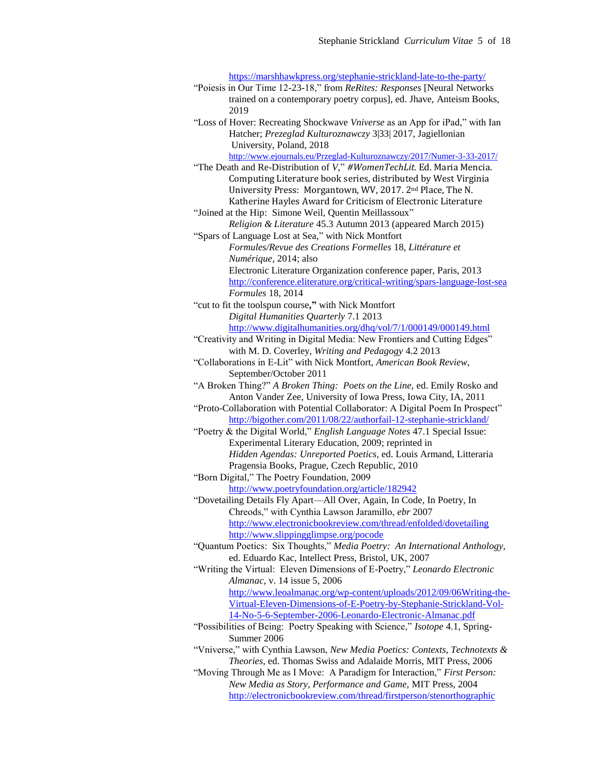<https://marshhawkpress.org/stephanie-strickland-late-to-the-party/>

- "Poiesis in Our Time 12-23-18," from *ReRites: Responses* [Neural Networks trained on a contemporary poetry corpus], ed. Jhave, Anteism Books, 2019
- "Loss of Hover: Recreating Shockwave *Vniverse* as an App for iPad," with Ian Hatcher; *Prezeglad Kulturoznawczy* 3|33| 2017, Jagiellonian University, Poland, 2018

<http://www.ejournals.eu/Przeglad-Kulturoznawczy/2017/Numer-3-33-2017/>

- "The Death and Re-Distribution of *V*," *#WomenTechLit.* Ed. Maria Mencia. Computing Literature book series, distributed by West Virginia University Press: Morgantown, WV, 2017. 2nd Place, The N. Katherine Hayles Award for Criticism of Electronic Literature "Joined at the Hip: Simone Weil, Quentin Meillassoux"
- *Religion & Literature* 45.3 Autumn 2013 (appeared March 2015) "Spars of Language Lost at Sea," with Nick Montfort
- *Formules/Revue des Creations Formelles* 18, *Littérature et Numérique,* 2014; also Electronic Literature Organization conference paper, Paris, 2013 <http://conference.eliterature.org/critical-writing/spars-language-lost-sea> *Formules* 18, 2014
- "cut to fit the toolspun course**,"** with Nick Montfort *Digital Humanities Quarterly* 7.1 2013
	- <http://www.digitalhumanities.org/dhq/vol/7/1/000149/000149.html>
- "Creativity and Writing in Digital Media: New Frontiers and Cutting Edges" with M. D. Coverley, *Writing and Pedagogy* 4.2 2013
- "Collaborations in E-Lit" with Nick Montfort, *American Book Review,*  September/October 2011
- "A Broken Thing?" *A Broken Thing: Poets on the Line,* ed. Emily Rosko and Anton Vander Zee, University of Iowa Press, Iowa City, IA, 2011
- "Proto-Collaboration with Potential Collaborator: A Digital Poem In Prospect" <http://bigother.com/2011/08/22/authorfail-12-stephanie-strickland/>
- "Poetry & the Digital World," *English Language Notes* 47.1 Special Issue: Experimental Literary Education, 2009; reprinted in *Hidden Agendas: Unreported Poetics,* ed. Louis Armand, Litteraria Pragensia Books, Prague, Czech Republic, 2010
- "Born Digital," The Poetry Foundation, 2009 <http://www.poetryfoundation.org/article/182942>
- "Dovetailing Details Fly Apart—All Over, Again, In Code, In Poetry, In Chreods," with Cynthia Lawson Jaramillo, *ebr* 2007 <http://www.electronicbookreview.com/thread/enfolded/dovetailing> <http://www.slippingglimpse.org/pocode>
- "Quantum Poetics: Six Thoughts," *Media Poetry: An International Anthology,* ed. Eduardo Kac, Intellect Press, Bristol, UK, 2007
- "Writing the Virtual: Eleven Dimensions of E-Poetry," *Leonardo Electronic Almanac,* v. 14 issue 5, 2006
	- [http://www.leoalmanac.org/wp-content/uploads/2012/09/06Writing-the-](http://www.leoalmanac.org/wp-content/uploads/2012/09/06Writing-the-Virtual-Eleven-Dimensions-of-E-Poetry-by-Stephanie-Strickland-Vol-14-No-5-6-September-2006-Leonardo-Electronic-Almanac.pdf)[Virtual-Eleven-Dimensions-of-E-Poetry-by-Stephanie-Strickland-Vol-](http://www.leoalmanac.org/wp-content/uploads/2012/09/06Writing-the-Virtual-Eleven-Dimensions-of-E-Poetry-by-Stephanie-Strickland-Vol-14-No-5-6-September-2006-Leonardo-Electronic-Almanac.pdf)[14-No-5-6-September-2006-Leonardo-Electronic-Almanac.pdf](http://www.leoalmanac.org/wp-content/uploads/2012/09/06Writing-the-Virtual-Eleven-Dimensions-of-E-Poetry-by-Stephanie-Strickland-Vol-14-No-5-6-September-2006-Leonardo-Electronic-Almanac.pdf)
- "Possibilities of Being: Poetry Speaking with Science," *Isotope* 4.1, Spring-Summer 2006
- "Vniverse," with Cynthia Lawson, *New Media Poetics: Contexts, Technotexts & Theories,* ed. Thomas Swiss and Adalaide Morris, MIT Press, 2006
- "Moving Through Me as I Move: A Paradigm for Interaction," *First Person: New Media as Story, Performance and Game,* MIT Press, 2004 <http://electronicbookreview.com/thread/firstperson/stenorthographic>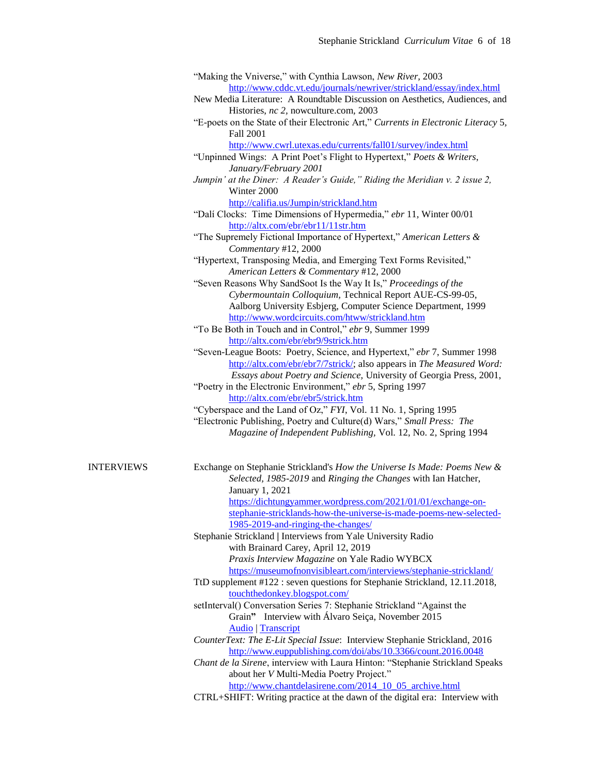|                   | "Making the Vniverse," with Cynthia Lawson, New River, 2003                        |
|-------------------|------------------------------------------------------------------------------------|
|                   | http://www.cddc.vt.edu/journals/newriver/strickland/essay/index.html               |
|                   | New Media Literature: A Roundtable Discussion on Aesthetics, Audiences, and        |
|                   | Histories, nc 2, nowculture.com, 2003                                              |
|                   | "E-poets on the State of their Electronic Art," Currents in Electronic Literacy 5, |
|                   | Fall 2001                                                                          |
|                   | http://www.cwrl.utexas.edu/currents/fall01/survey/index.html                       |
|                   |                                                                                    |
|                   | "Unpinned Wings: A Print Poet's Flight to Hypertext," Poets & Writers,             |
|                   | January/February 2001                                                              |
|                   | Jumpin' at the Diner: A Reader's Guide," Riding the Meridian v. 2 issue 2,         |
|                   | Winter 2000                                                                        |
|                   | http://califia.us/Jumpin/strickland.htm                                            |
|                   | "Dalí Clocks: Time Dimensions of Hypermedia," ebr 11, Winter 00/01                 |
|                   | http://altx.com/ebr/ebr11/11str.htm                                                |
|                   | "The Supremely Fictional Importance of Hypertext," American Letters &              |
|                   | Commentary #12, 2000                                                               |
|                   | "Hypertext, Transposing Media, and Emerging Text Forms Revisited,"                 |
|                   |                                                                                    |
|                   | American Letters & Commentary #12, 2000                                            |
|                   | "Seven Reasons Why SandSoot Is the Way It Is," Proceedings of the                  |
|                   | Cybermountain Colloquium, Technical Report AUE-CS-99-05,                           |
|                   | Aalborg University Esbjerg, Computer Science Department, 1999                      |
|                   | http://www.wordcircuits.com/htww/strickland.htm                                    |
|                   | "To Be Both in Touch and in Control," ebr 9, Summer 1999                           |
|                   | http://altx.com/ebr/ebr9/9strick.htm                                               |
|                   | "Seven-League Boots: Poetry, Science, and Hypertext," ebr 7, Summer 1998           |
|                   | http://altx.com/ebr/ebr7/7strick/; also appears in The Measured Word:              |
|                   | Essays about Poetry and Science, University of Georgia Press, 2001,                |
|                   | "Poetry in the Electronic Environment," ebr 5, Spring 1997                         |
|                   |                                                                                    |
|                   | http://altx.com/ebr/ebr5/strick.htm                                                |
|                   | "Cyberspace and the Land of Oz," FYI, Vol. 11 No. 1, Spring 1995                   |
|                   | "Electronic Publishing, Poetry and Culture(d) Wars," Small Press: The              |
|                   | Magazine of Independent Publishing, Vol. 12, No. 2, Spring 1994                    |
|                   |                                                                                    |
| <b>INTERVIEWS</b> | Exchange on Stephanie Strickland's How the Universe Is Made: Poems New &           |
|                   | Selected, 1985-2019 and Ringing the Changes with Ian Hatcher,                      |
|                   | January 1, 2021                                                                    |
|                   | https://dichtungyammer.wordpress.com/2021/01/01/exchange-on-                       |
|                   |                                                                                    |
|                   | stephanie-stricklands-how-the-universe-is-made-poems-new-selected-                 |
|                   | 1985-2019-and-ringing-the-changes/                                                 |
|                   | Stephanie Strickland   Interviews from Yale University Radio                       |
|                   | with Brainard Carey, April 12, 2019                                                |
|                   | Praxis Interview Magazine on Yale Radio WYBCX                                      |
|                   | https://museumofnonvisibleart.com/interviews/stephanie-strickland/                 |
|                   | TtD supplement #122 : seven questions for Stephanie Strickland, 12.11.2018,        |
|                   | touchthedonkey.blogspot.com/                                                       |
|                   | setInterval() Conversation Series 7: Stephanie Strickland "Against the             |
|                   | Grain" Interview with Álvaro Seiça, November 2015                                  |
|                   | <b>Audio</b> Transcript                                                            |
|                   |                                                                                    |
|                   | CounterText: The E-Lit Special Issue: Interview Stephanie Strickland, 2016         |
|                   | http://www.euppublishing.com/doi/abs/10.3366/count.2016.0048                       |
|                   | Chant de la Sirene, interview with Laura Hinton: "Stephanie Strickland Speaks      |
|                   | about her V Multi-Media Poetry Project."                                           |
|                   | http://www.chantdelasirene.com/2014 10 05 archive.html                             |
|                   | CTRL+SHIFT: Writing practice at the dawn of the digital era: Interview with        |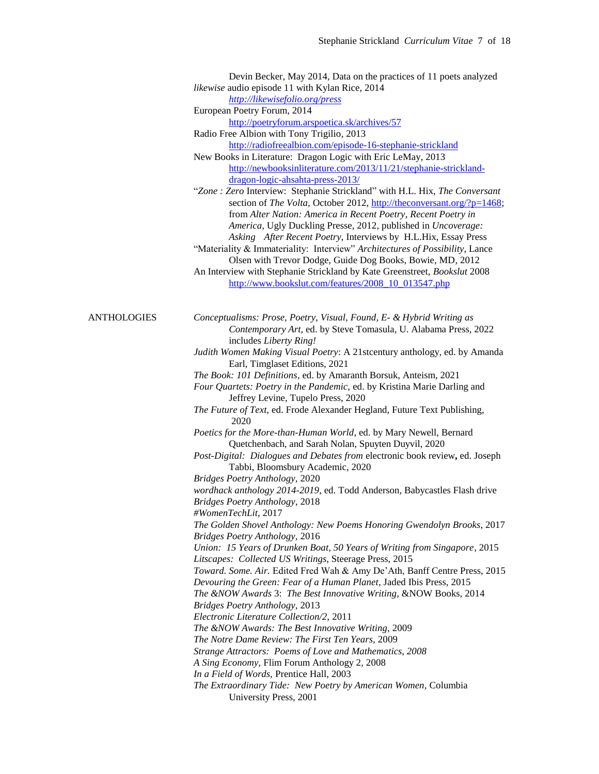|                    | Devin Becker, May 2014, Data on the practices of 11 poets analyzed               |
|--------------------|----------------------------------------------------------------------------------|
|                    | likewise audio episode 11 with Kylan Rice, 2014                                  |
|                    | http://likewisefolio.org/press                                                   |
|                    | European Poetry Forum, 2014                                                      |
|                    | http://poetryforum.arspoetica.sk/archives/57                                     |
|                    | Radio Free Albion with Tony Trigilio, 2013                                       |
|                    | http://radiofreealbion.com/episode-16-stephanie-strickland                       |
|                    | New Books in Literature: Dragon Logic with Eric LeMay, 2013                      |
|                    | http://newbooksinliterature.com/2013/11/21/stephanie-strickland-                 |
|                    | dragon-logic-ahsahta-press-2013/                                                 |
|                    | "Zone : Zero Interview: Stephanie Strickland" with H.L. Hix, The Conversant      |
|                    | section of The Volta, October 2012, http://theconversant.org/?p=1468;            |
|                    | from Alter Nation: America in Recent Poetry, Recent Poetry in                    |
|                    | America, Ugly Duckling Presse, 2012, published in Uncoverage:                    |
|                    | Asking After Recent Poetry, Interviews by H.L.Hix, Essay Press                   |
|                    | "Materiality & Immateriality: Interview" Architectures of Possibility, Lance     |
|                    | Olsen with Trevor Dodge, Guide Dog Books, Bowie, MD, 2012                        |
|                    | An Interview with Stephanie Strickland by Kate Greenstreet, Bookslut 2008        |
|                    | http://www.bookslut.com/features/2008 10 013547.php                              |
|                    |                                                                                  |
|                    |                                                                                  |
| <b>ANTHOLOGIES</b> | Conceptualisms: Prose, Poetry, Visual, Found, E- & Hybrid Writing as             |
|                    | Contemporary Art, ed. by Steve Tomasula, U. Alabama Press, 2022                  |
|                    | includes Liberty Ring!                                                           |
|                    | Judith Women Making Visual Poetry: A 21stcentury anthology, ed. by Amanda        |
|                    | Earl, Timglaset Editions, 2021                                                   |
|                    | The Book: 101 Definitions, ed. by Amaranth Borsuk, Anteism, 2021                 |
|                    | Four Quartets: Poetry in the Pandemic, ed. by Kristina Marie Darling and         |
|                    | Jeffrey Levine, Tupelo Press, 2020                                               |
|                    | The Future of Text, ed. Frode Alexander Hegland, Future Text Publishing,<br>2020 |
|                    | Poetics for the More-than-Human World, ed. by Mary Newell, Bernard               |
|                    | Quetchenbach, and Sarah Nolan, Spuyten Duyvil, 2020                              |
|                    | Post-Digital: Dialogues and Debates from electronic book review, ed. Joseph      |
|                    | Tabbi, Bloomsbury Academic, 2020                                                 |
|                    | Bridges Poetry Anthology, 2020                                                   |
|                    | wordhack anthology 2014-2019, ed. Todd Anderson, Babycastles Flash drive         |
|                    | <b>Bridges Poetry Anthology, 2018</b>                                            |
|                    | #WomenTechLit, 2017                                                              |
|                    | The Golden Shovel Anthology: New Poems Honoring Gwendolyn Brooks, 2017           |
|                    | <b>Bridges Poetry Anthology, 2016</b>                                            |
|                    | Union: 15 Years of Drunken Boat, 50 Years of Writing from Singapore, 2015        |
|                    | Litscapes: Collected US Writings, Steerage Press, 2015                           |
|                    | Toward. Some. Air. Edited Fred Wah & Amy De'Ath, Banff Centre Press, 2015        |
|                    | Devouring the Green: Fear of a Human Planet, Jaded Ibis Press, 2015              |
|                    | The &NOW Awards 3: The Best Innovative Writing, &NOW Books, 2014                 |
|                    | <b>Bridges Poetry Anthology, 2013</b>                                            |
|                    | Electronic Literature Collection/2, 2011                                         |
|                    | The &NOW Awards: The Best Innovative Writing, 2009                               |
|                    | The Notre Dame Review: The First Ten Years, 2009                                 |
|                    | Strange Attractors: Poems of Love and Mathematics, 2008                          |
|                    | A Sing Economy, Flim Forum Anthology 2, 2008                                     |
|                    | In a Field of Words, Prentice Hall, 2003                                         |
|                    | The Extraordinary Tide: New Poetry by American Women, Columbia                   |
|                    | University Press, 2001                                                           |
|                    |                                                                                  |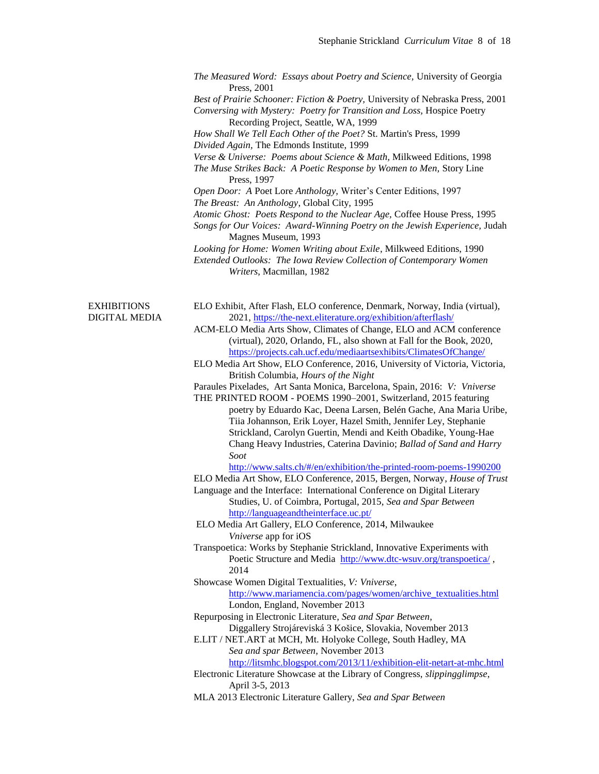|                    | The Measured Word: Essays about Poetry and Science, University of Georgia                                                                                                                                        |
|--------------------|------------------------------------------------------------------------------------------------------------------------------------------------------------------------------------------------------------------|
|                    | Press, 2001<br>Best of Prairie Schooner: Fiction & Poetry, University of Nebraska Press, 2001<br>Conversing with Mystery: Poetry for Transition and Loss, Hospice Poetry<br>Recording Project, Seattle, WA, 1999 |
|                    | How Shall We Tell Each Other of the Poet? St. Martin's Press, 1999<br>Divided Again, The Edmonds Institute, 1999                                                                                                 |
|                    | Verse & Universe: Poems about Science & Math, Milkweed Editions, 1998<br>The Muse Strikes Back: A Poetic Response by Women to Men, Story Line<br>Press, 1997                                                     |
|                    | Open Door: A Poet Lore Anthology, Writer's Center Editions, 1997<br>The Breast: An Anthology, Global City, 1995                                                                                                  |
|                    | Atomic Ghost: Poets Respond to the Nuclear Age, Coffee House Press, 1995<br>Songs for Our Voices: Award-Winning Poetry on the Jewish Experience, Judah<br>Magnes Museum, 1993                                    |
|                    | Looking for Home: Women Writing about Exile, Milkweed Editions, 1990<br>Extended Outlooks: The Iowa Review Collection of Contemporary Women<br>Writers, Macmillan, 1982                                          |
| <b>EXHIBITIONS</b> | ELO Exhibit, After Flash, ELO conference, Denmark, Norway, India (virtual),                                                                                                                                      |
| DIGITAL MEDIA      | 2021, https://the-next.eliterature.org/exhibition/afterflash/<br>ACM-ELO Media Arts Show, Climates of Change, ELO and ACM conference<br>(virtual), 2020, Orlando, FL, also shown at Fall for the Book, 2020,     |
|                    | https://projects.cah.ucf.edu/mediaartsexhibits/ClimatesOfChange/<br>ELO Media Art Show, ELO Conference, 2016, University of Victoria, Victoria,<br>British Columbia, Hours of the Night                          |
|                    | Paraules Pixelades, Art Santa Monica, Barcelona, Spain, 2016: V: Vniverse<br>THE PRINTED ROOM - POEMS 1990-2001, Switzerland, 2015 featuring                                                                     |
|                    | poetry by Eduardo Kac, Deena Larsen, Belén Gache, Ana Maria Uribe,<br>Tiia Johannson, Erik Loyer, Hazel Smith, Jennifer Ley, Stephanie                                                                           |
|                    | Strickland, Carolyn Guertin, Mendi and Keith Obadike, Young-Hae<br>Chang Heavy Industries, Caterina Davinio; Ballad of Sand and Harry<br>Soot                                                                    |
|                    | http://www.salts.ch/#/en/exhibition/the-printed-room-poems-1990200                                                                                                                                               |
|                    | ELO Media Art Show, ELO Conference, 2015, Bergen, Norway, House of Trust<br>Language and the Interface: International Conference on Digital Literary                                                             |
|                    | Studies, U. of Coimbra, Portugal, 2015, Sea and Spar Between                                                                                                                                                     |
|                    | http://languageandtheinterface.uc.pt/<br>ELO Media Art Gallery, ELO Conference, 2014, Milwaukee                                                                                                                  |
|                    | Vniverse app for iOS<br>Transpoetica: Works by Stephanie Strickland, Innovative Experiments with<br>Poetic Structure and Media http://www.dtc-wsuv.org/transpoetica/,<br>2014                                    |
|                    | Showcase Women Digital Textualities, V: Vniverse,                                                                                                                                                                |
|                    | http://www.mariamencia.com/pages/women/archive_textualities.html<br>London, England, November 2013                                                                                                               |
|                    | Repurposing in Electronic Literature, Sea and Spar Between,<br>Diggallery Strojáreviská 3 Košice, Slovakia, November 2013                                                                                        |
|                    | E.LIT / NET.ART at MCH, Mt. Holyoke College, South Hadley, MA<br>Sea and spar Between, November 2013                                                                                                             |
|                    | http://litsmhc.blogspot.com/2013/11/exhibition-elit-netart-at-mhc.html                                                                                                                                           |
|                    | Electronic Literature Showcase at the Library of Congress, slippingglimpse,                                                                                                                                      |
|                    | April 3-5, 2013<br>MLA 2013 Electronic Literature Gallery, Sea and Spar Between                                                                                                                                  |
|                    |                                                                                                                                                                                                                  |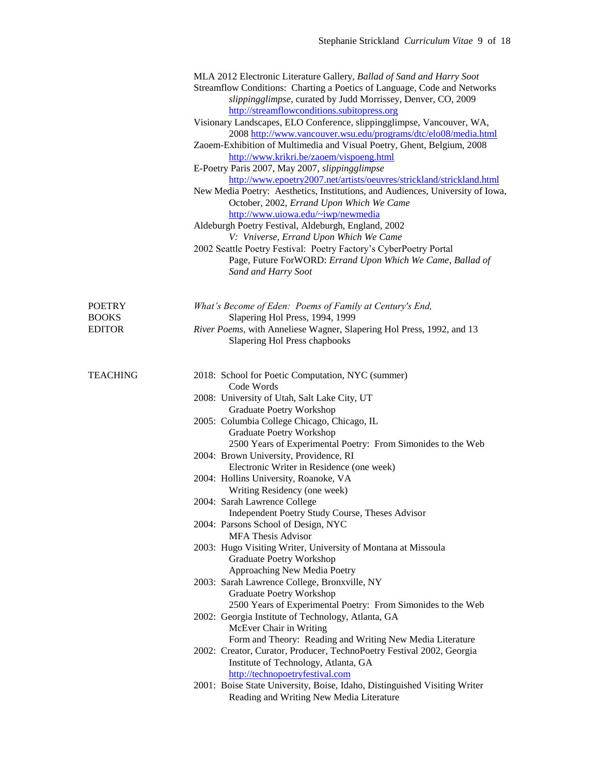|                                                | MLA 2012 Electronic Literature Gallery, Ballad of Sand and Harry Soot<br>Streamflow Conditions: Charting a Poetics of Language, Code and Networks<br>slippingglimpse, curated by Judd Morrissey, Denver, CO, 2009<br>http://streamflowconditions.subitopress.org<br>Visionary Landscapes, ELO Conference, slippingglimpse, Vancouver, WA,<br>2008 http://www.vancouver.wsu.edu/programs/dtc/elo08/media.html<br>Zaoem-Exhibition of Multimedia and Visual Poetry, Ghent, Belgium, 2008<br>http://www.krikri.be/zaoem/vispoeng.html<br>E-Poetry Paris 2007, May 2007, slippingglimpse<br>http://www.epoetry2007.net/artists/oeuvres/strickland/strickland.html<br>New Media Poetry: Aesthetics, Institutions, and Audiences, University of Iowa,<br>October, 2002, Errand Upon Which We Came<br>http://www.uiowa.edu/~iwp/newmedia<br>Aldeburgh Poetry Festival, Aldeburgh, England, 2002<br>V: Vniverse, Errand Upon Which We Came<br>2002 Seattle Poetry Festival: Poetry Factory's CyberPoetry Portal<br>Page, Future ForWORD: Errand Upon Which We Came, Ballad of<br>Sand and Harry Soot                                                                                                                                                                                                                      |
|------------------------------------------------|-------------------------------------------------------------------------------------------------------------------------------------------------------------------------------------------------------------------------------------------------------------------------------------------------------------------------------------------------------------------------------------------------------------------------------------------------------------------------------------------------------------------------------------------------------------------------------------------------------------------------------------------------------------------------------------------------------------------------------------------------------------------------------------------------------------------------------------------------------------------------------------------------------------------------------------------------------------------------------------------------------------------------------------------------------------------------------------------------------------------------------------------------------------------------------------------------------------------------------------------------------------------------------------------------------------------|
| <b>POETRY</b><br><b>BOOKS</b><br><b>EDITOR</b> | What's Become of Eden: Poems of Family at Century's End,<br>Slapering Hol Press, 1994, 1999<br>River Poems, with Anneliese Wagner, Slapering Hol Press, 1992, and 13<br>Slapering Hol Press chapbooks                                                                                                                                                                                                                                                                                                                                                                                                                                                                                                                                                                                                                                                                                                                                                                                                                                                                                                                                                                                                                                                                                                             |
| <b>TEACHING</b>                                | 2018: School for Poetic Computation, NYC (summer)<br>Code Words<br>2008: University of Utah, Salt Lake City, UT<br>Graduate Poetry Workshop<br>2005: Columbia College Chicago, Chicago, IL<br>Graduate Poetry Workshop<br>2500 Years of Experimental Poetry: From Simonides to the Web<br>2004: Brown University, Providence, RI<br>Electronic Writer in Residence (one week)<br>2004: Hollins University, Roanoke, VA<br>Writing Residency (one week)<br>2004: Sarah Lawrence College<br>Independent Poetry Study Course, Theses Advisor<br>2004: Parsons School of Design, NYC<br><b>MFA Thesis Advisor</b><br>2003: Hugo Visiting Writer, University of Montana at Missoula<br>Graduate Poetry Workshop<br>Approaching New Media Poetry<br>2003: Sarah Lawrence College, Bronxville, NY<br>Graduate Poetry Workshop<br>2500 Years of Experimental Poetry: From Simonides to the Web<br>2002: Georgia Institute of Technology, Atlanta, GA<br>McEver Chair in Writing<br>Form and Theory: Reading and Writing New Media Literature<br>2002: Creator, Curator, Producer, TechnoPoetry Festival 2002, Georgia<br>Institute of Technology, Atlanta, GA<br>http://technopoetryfestival.com<br>2001: Boise State University, Boise, Idaho, Distinguished Visiting Writer<br>Reading and Writing New Media Literature |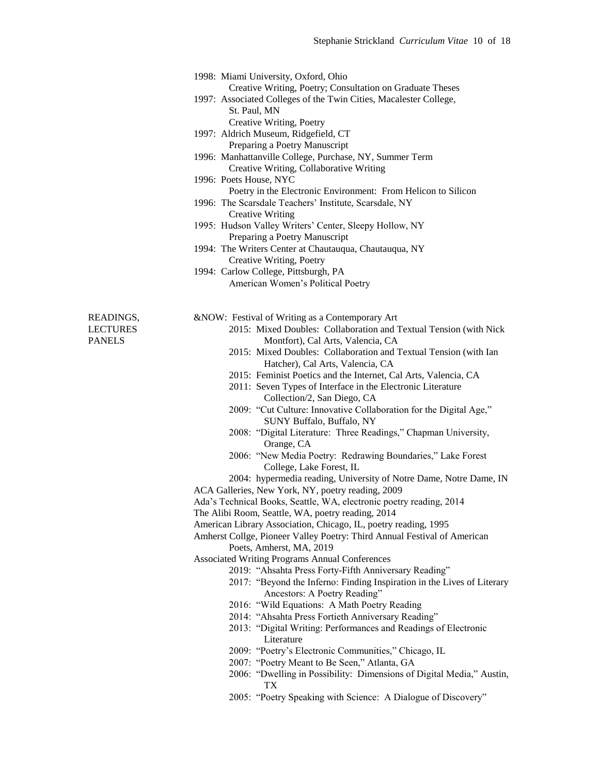1998: Miami University, Oxford, Ohio

Creative Writing, Poetry; Consultation on Graduate Theses

- 1997: Associated Colleges of the Twin Cities, Macalester College, St. Paul, MN
	- Creative Writing, Poetry
- 1997: Aldrich Museum, Ridgefield, CT Preparing a Poetry Manuscript
- 1996: Manhattanville College, Purchase, NY, Summer Term Creative Writing, Collaborative Writing
- 1996: Poets House, NYC
	- Poetry in the Electronic Environment: From Helicon to Silicon
- 1996: The Scarsdale Teachers' Institute, Scarsdale, NY Creative Writing
- 1995: Hudson Valley Writers' Center, Sleepy Hollow, NY Preparing a Poetry Manuscript
- 1994: The Writers Center at Chautauqua, Chautauqua, NY Creative Writing, Poetry
- 1994: Carlow College, Pittsburgh, PA American Women's Political Poetry

- READINGS,  $\&NOW:$  Festival of Writing as a Contemporary Art
- LECTURES 2015: Mixed Doubles: Collaboration and Textual Tension (with Nick PANELS Montfort), Cal Arts, Valencia, CA
	- 2015: Mixed Doubles: Collaboration and Textual Tension (with Ian Hatcher), Cal Arts, Valencia, CA
	- 2015: Feminist Poetics and the Internet, Cal Arts, Valencia, CA
	- 2011: Seven Types of Interface in the Electronic Literature Collection/2, San Diego, CA
	- 2009: "Cut Culture: Innovative Collaboration for the Digital Age," SUNY Buffalo, Buffalo, NY
	- 2008: "Digital Literature: Three Readings," Chapman University, Orange, CA
	- 2006: "New Media Poetry: Redrawing Boundaries," Lake Forest College, Lake Forest, IL
	- 2004: hypermedia reading, University of Notre Dame, Notre Dame, IN
	- ACA Galleries, New York, NY, poetry reading, 2009
	- Ada's Technical Books, Seattle, WA, electronic poetry reading, 2014

The Alibi Room, Seattle, WA, poetry reading, 2014

American Library Association, Chicago, IL, poetry reading, 1995

- Amherst Collge, Pioneer Valley Poetry: Third Annual Festival of American Poets, Amherst, MA, 2019
- Associated Writing Programs Annual Conferences
	- 2019: "Ahsahta Press Forty-Fifth Anniversary Reading"
	- 2017: "Beyond the Inferno: Finding Inspiration in the Lives of Literary Ancestors: A Poetry Reading"
	- 2016: "Wild Equations: A Math Poetry Reading
	- 2014: "Ahsahta Press Fortieth Anniversary Reading"
	- 2013: "Digital Writing: Performances and Readings of Electronic Literature
	- 2009: "Poetry's Electronic Communities," Chicago, IL
	- 2007: "Poetry Meant to Be Seen," Atlanta, GA
	- 2006: "Dwelling in Possibility: Dimensions of Digital Media," Austin, TX
	- 2005: "Poetry Speaking with Science: A Dialogue of Discovery"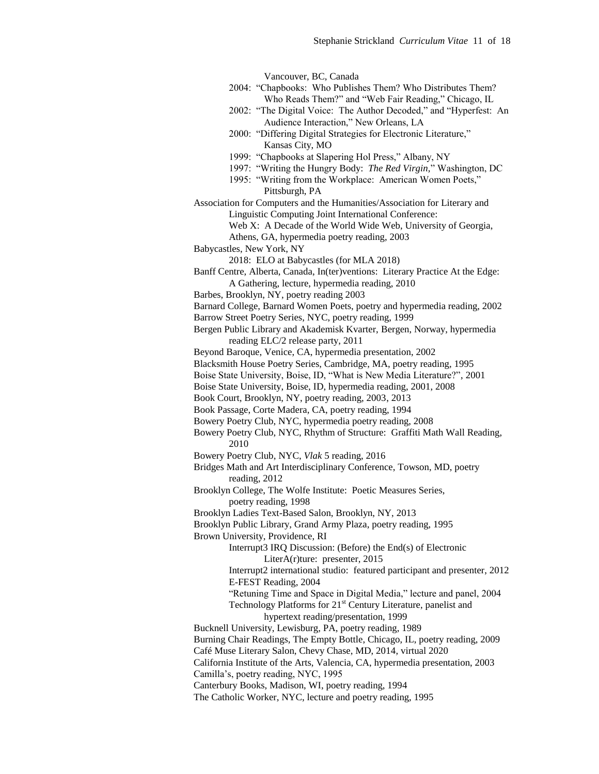Vancouver, BC, Canada 2004: "Chapbooks: Who Publishes Them? Who Distributes Them? Who Reads Them?" and "Web Fair Reading," Chicago, IL 2002: "The Digital Voice: The Author Decoded," and "Hyperfest: An Audience Interaction," New Orleans, LA 2000: "Differing Digital Strategies for Electronic Literature," Kansas City, MO 1999: "Chapbooks at Slapering Hol Press," Albany, NY 1997: "Writing the Hungry Body: *The Red Virgin,*" Washington, DC 1995: "Writing from the Workplace: American Women Poets," Pittsburgh, PA Association for Computers and the Humanities/Association for Literary and Linguistic Computing Joint International Conference: Web X: A Decade of the World Wide Web, University of Georgia, Athens, GA, hypermedia poetry reading, 2003 Babycastles, New York, NY 2018: ELO at Babycastles (for MLA 2018) Banff Centre, Alberta, Canada, In(ter)ventions: Literary Practice At the Edge: A Gathering, lecture, hypermedia reading, 2010 Barbes, Brooklyn, NY, poetry reading 2003 Barnard College, Barnard Women Poets, poetry and hypermedia reading, 2002 Barrow Street Poetry Series, NYC, poetry reading, 1999 Bergen Public Library and Akademisk Kvarter, Bergen, Norway, hypermedia reading ELC/2 release party, 2011 Beyond Baroque, Venice, CA, hypermedia presentation, 2002 Blacksmith House Poetry Series, Cambridge, MA, poetry reading, 1995 Boise State University, Boise, ID, "What is New Media Literature?", 2001 Boise State University, Boise, ID, hypermedia reading, 2001, 2008 Book Court, Brooklyn, NY, poetry reading, 2003, 2013 Book Passage, Corte Madera, CA, poetry reading, 1994 Bowery Poetry Club, NYC, hypermedia poetry reading, 2008 Bowery Poetry Club, NYC, Rhythm of Structure: Graffiti Math Wall Reading, 2010 Bowery Poetry Club, NYC, *Vlak* 5 reading, 2016 Bridges Math and Art Interdisciplinary Conference, Towson, MD, poetry reading, 2012 Brooklyn College, The Wolfe Institute: Poetic Measures Series, poetry reading, 1998 Brooklyn Ladies Text-Based Salon, Brooklyn, NY, 2013 Brooklyn Public Library, Grand Army Plaza, poetry reading, 1995 Brown University, Providence, RI Interrupt3 IRQ Discussion: (Before) the End(s) of Electronic LiterA(r)ture: presenter, 2015 Interrupt2 international studio: featured participant and presenter, 2012 E-FEST Reading, 2004 "Retuning Time and Space in Digital Media," lecture and panel, 2004 Technology Platforms for 21<sup>st</sup> Century Literature, panelist and hypertext reading/presentation, 1999 Bucknell University, Lewisburg, PA, poetry reading, 1989 Burning Chair Readings, The Empty Bottle, Chicago, IL, poetry reading, 2009 Café Muse Literary Salon, Chevy Chase, MD, 2014, virtual 2020 California Institute of the Arts, Valencia, CA, hypermedia presentation, 2003 Camilla's, poetry reading, NYC, 1995 Canterbury Books, Madison, WI, poetry reading, 1994 The Catholic Worker, NYC, lecture and poetry reading, 1995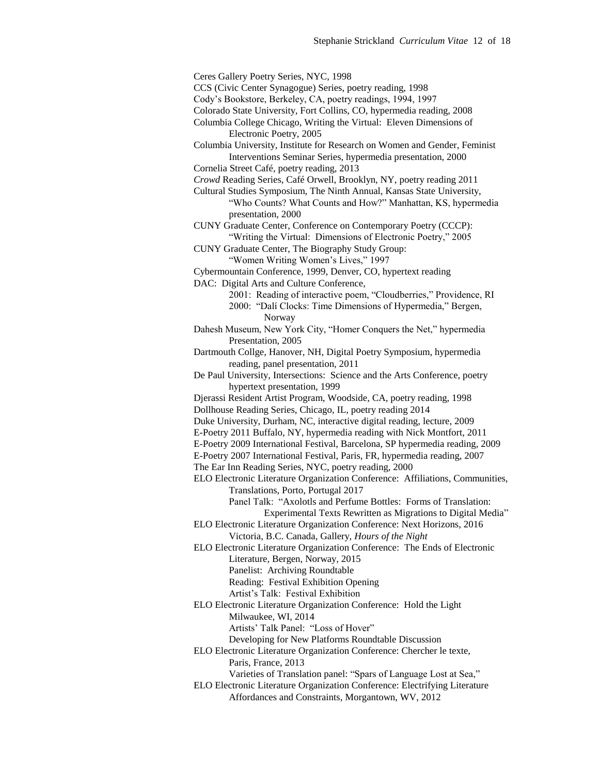Ceres Gallery Poetry Series, NYC, 1998 CCS (Civic Center Synagogue) Series, poetry reading, 1998 Cody's Bookstore, Berkeley, CA, poetry readings, 1994, 1997 Colorado State University, Fort Collins, CO, hypermedia reading, 2008 Columbia College Chicago, Writing the Virtual: Eleven Dimensions of Electronic Poetry, 2005 Columbia University, Institute for Research on Women and Gender, Feminist Interventions Seminar Series, hypermedia presentation, 2000 Cornelia Street Café, poetry reading, 2013 *Crowd* Reading Series, Café Orwell, Brooklyn, NY, poetry reading 2011 Cultural Studies Symposium, The Ninth Annual, Kansas State University, "Who Counts? What Counts and How?" Manhattan, KS, hypermedia presentation, 2000 CUNY Graduate Center, Conference on Contemporary Poetry (CCCP): "Writing the Virtual: Dimensions of Electronic Poetry," 2005 CUNY Graduate Center, The Biography Study Group: "Women Writing Women's Lives," 1997 Cybermountain Conference, 1999, Denver, CO, hypertext reading DAC: Digital Arts and Culture Conference, 2001: Reading of interactive poem, "Cloudberries," Providence, RI 2000: "Dalí Clocks: Time Dimensions of Hypermedia," Bergen, Norway Dahesh Museum, New York City, "Homer Conquers the Net," hypermedia Presentation, 2005 Dartmouth Collge, Hanover, NH, Digital Poetry Symposium, hypermedia reading, panel presentation, 2011 De Paul University, Intersections: Science and the Arts Conference, poetry hypertext presentation, 1999 Djerassi Resident Artist Program, Woodside, CA, poetry reading, 1998 Dollhouse Reading Series, Chicago, IL, poetry reading 2014 Duke University, Durham, NC, interactive digital reading, lecture, 2009 E-Poetry 2011 Buffalo, NY, hypermedia reading with Nick Montfort, 2011 E-Poetry 2009 International Festival, Barcelona, SP hypermedia reading, 2009 E-Poetry 2007 International Festival, Paris, FR, hypermedia reading, 2007 The Ear Inn Reading Series, NYC, poetry reading, 2000 ELO Electronic Literature Organization Conference: Affiliations, Communities, Translations, Porto, Portugal 2017 Panel Talk: "Axolotls and Perfume Bottles: Forms of Translation: Experimental Texts Rewritten as Migrations to Digital Media" ELO Electronic Literature Organization Conference: Next Horizons, 2016 Victoria, B.C. Canada, Gallery, *Hours of the Night* ELO Electronic Literature Organization Conference: The Ends of Electronic Literature, Bergen, Norway, 2015 Panelist: Archiving Roundtable Reading: Festival Exhibition Opening Artist's Talk: Festival Exhibition ELO Electronic Literature Organization Conference: Hold the Light Milwaukee, WI, 2014 Artists' Talk Panel: "Loss of Hover" Developing for New Platforms Roundtable Discussion ELO Electronic Literature Organization Conference: Chercher le texte, Paris, France, 2013 Varieties of Translation panel: "Spars of Language Lost at Sea," ELO Electronic Literature Organization Conference: Electrifying Literature Affordances and Constraints, Morgantown, WV, 2012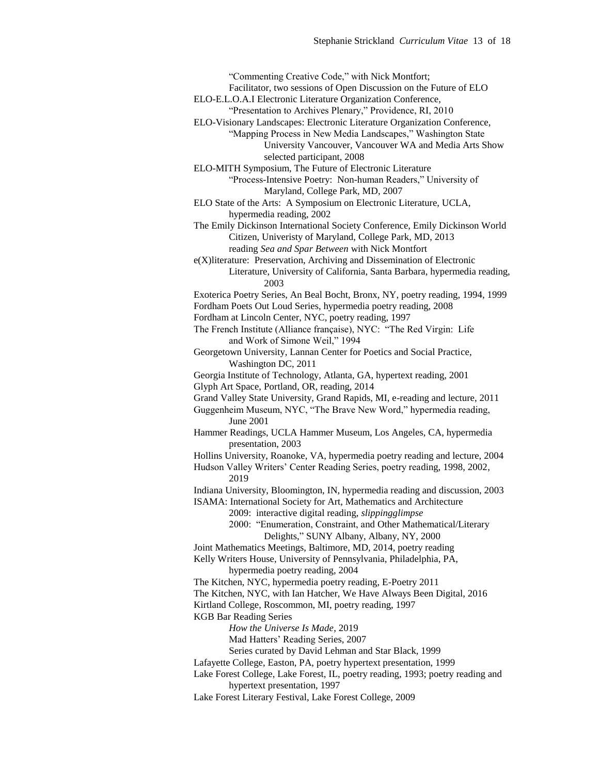"Commenting Creative Code," with Nick Montfort; Facilitator, two sessions of Open Discussion on the Future of ELO ELO-E.L.O.A.I Electronic Literature Organization Conference, "Presentation to Archives Plenary," Providence, RI, 2010 ELO-Visionary Landscapes: Electronic Literature Organization Conference, "Mapping Process in New Media Landscapes," Washington State University Vancouver, Vancouver WA and Media Arts Show selected participant, 2008 ELO-MITH Symposium, The Future of Electronic Literature "Process-Intensive Poetry: Non-human Readers," University of Maryland, College Park, MD, 2007 ELO State of the Arts: A Symposium on Electronic Literature, UCLA, hypermedia reading, 2002 The Emily Dickinson International Society Conference, Emily Dickinson World Citizen, Univeristy of Maryland, College Park, MD, 2013 reading *Sea and Spar Between* with Nick Montfort e(X)literature: Preservation, Archiving and Dissemination of Electronic Literature, University of California, Santa Barbara, hypermedia reading, 2003 Exoterica Poetry Series, An Beal Bocht, Bronx, NY, poetry reading, 1994, 1999 Fordham Poets Out Loud Series, hypermedia poetry reading, 2008 Fordham at Lincoln Center, NYC, poetry reading, 1997 The French Institute (Alliance française), NYC: "The Red Virgin: Life and Work of Simone Weil," 1994 Georgetown University, Lannan Center for Poetics and Social Practice, Washington DC, 2011 Georgia Institute of Technology, Atlanta, GA, hypertext reading, 2001 Glyph Art Space, Portland, OR, reading, 2014 Grand Valley State University, Grand Rapids, MI, e-reading and lecture, 2011 Guggenheim Museum, NYC, "The Brave New Word," hypermedia reading, June 2001 Hammer Readings, UCLA Hammer Museum, Los Angeles, CA, hypermedia presentation, 2003 Hollins University, Roanoke, VA, hypermedia poetry reading and lecture, 2004 Hudson Valley Writers' Center Reading Series, poetry reading, 1998, 2002, 2019 Indiana University, Bloomington, IN, hypermedia reading and discussion, 2003 ISAMA: International Society for Art, Mathematics and Architecture 2009: interactive digital reading, *slippingglimpse* 2000: "Enumeration, Constraint, and Other Mathematical/Literary Delights," SUNY Albany, Albany, NY, 2000 Joint Mathematics Meetings, Baltimore, MD, 2014, poetry reading Kelly Writers House, University of Pennsylvania, Philadelphia, PA, hypermedia poetry reading, 2004 The Kitchen, NYC, hypermedia poetry reading, E-Poetry 2011 The Kitchen, NYC, with Ian Hatcher, We Have Always Been Digital, 2016 Kirtland College, Roscommon, MI, poetry reading, 1997 KGB Bar Reading Series *How the Universe Is Made*, 2019 Mad Hatters' Reading Series, 2007 Series curated by David Lehman and Star Black, 1999 Lafayette College, Easton, PA, poetry hypertext presentation, 1999 Lake Forest College, Lake Forest, IL, poetry reading, 1993; poetry reading and hypertext presentation, 1997

Lake Forest Literary Festival, Lake Forest College, 2009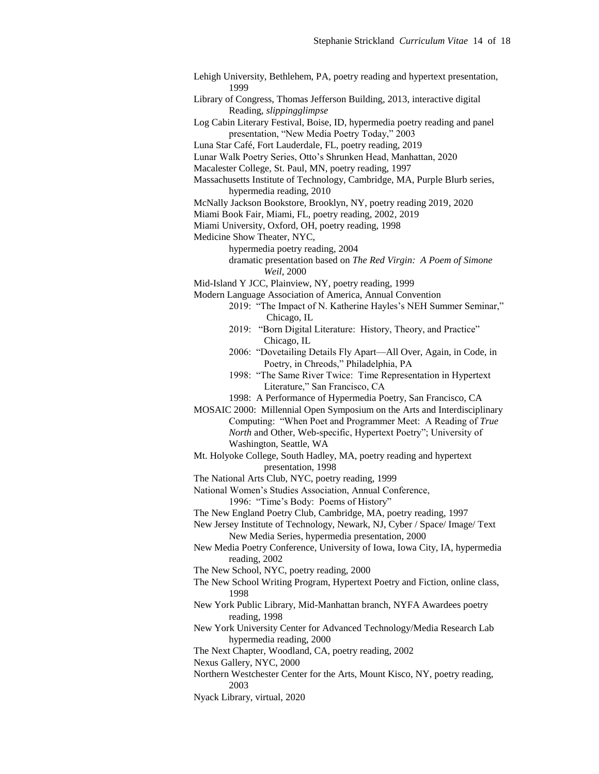Lehigh University, Bethlehem, PA, poetry reading and hypertext presentation, 1999

Library of Congress, Thomas Jefferson Building, 2013, interactive digital Reading, *slippingglimpse*

Log Cabin Literary Festival, Boise, ID, hypermedia poetry reading and panel presentation, "New Media Poetry Today," 2003

Luna Star Café, Fort Lauderdale, FL, poetry reading, 2019

Lunar Walk Poetry Series, Otto's Shrunken Head, Manhattan, 2020

Macalester College, St. Paul, MN, poetry reading, 1997

Massachusetts Institute of Technology, Cambridge, MA, Purple Blurb series, hypermedia reading, 2010

McNally Jackson Bookstore, Brooklyn, NY, poetry reading 2019, 2020

Miami Book Fair, Miami, FL, poetry reading, 2002, 2019

Miami University, Oxford, OH, poetry reading, 1998

Medicine Show Theater, NYC,

hypermedia poetry reading, 2004

dramatic presentation based on *The Red Virgin: A Poem of Simone Weil,* 2000

Mid-Island Y JCC, Plainview, NY, poetry reading, 1999

Modern Language Association of America, Annual Convention

2019: "The Impact of N. Katherine Hayles's NEH Summer Seminar," Chicago, IL

2019: "Born Digital Literature: History, Theory, and Practice" Chicago, IL

2006: "Dovetailing Details Fly Apart—All Over, Again, in Code, in Poetry, in Chreods," Philadelphia, PA

1998: "The Same River Twice: Time Representation in Hypertext Literature," San Francisco, CA

1998: A Performance of Hypermedia Poetry, San Francisco, CA

MOSAIC 2000: Millennial Open Symposium on the Arts and Interdisciplinary Computing: "When Poet and Programmer Meet: A Reading of *True North* and Other, Web-specific, Hypertext Poetry"; University of Washington, Seattle, WA

Mt. Holyoke College, South Hadley, MA, poetry reading and hypertext presentation, 1998

The National Arts Club, NYC, poetry reading, 1999

National Women's Studies Association, Annual Conference,

1996: "Time's Body: Poems of History"

The New England Poetry Club, Cambridge, MA, poetry reading, 1997

New Jersey Institute of Technology, Newark, NJ, Cyber / Space/ Image/ Text New Media Series, hypermedia presentation, 2000

New Media Poetry Conference, University of Iowa, Iowa City, IA, hypermedia reading, 2002

The New School, NYC, poetry reading, 2000

The New School Writing Program, Hypertext Poetry and Fiction, online class, 1998

New York Public Library, Mid-Manhattan branch, NYFA Awardees poetry reading, 1998

New York University Center for Advanced Technology/Media Research Lab hypermedia reading, 2000

The Next Chapter, Woodland, CA, poetry reading, 2002

Nexus Gallery, NYC, 2000

Northern Westchester Center for the Arts, Mount Kisco, NY, poetry reading, 2003

Nyack Library, virtual, 2020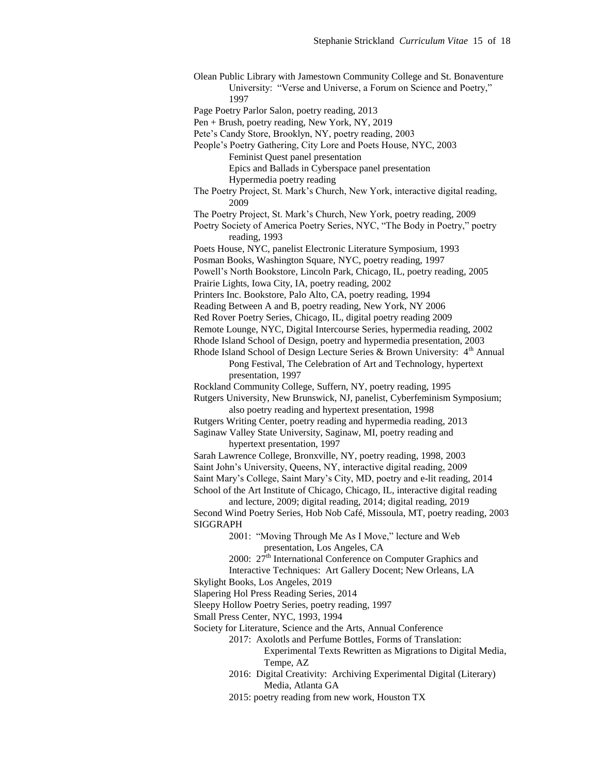Olean Public Library with Jamestown Community College and St. Bonaventure University: "Verse and Universe, a Forum on Science and Poetry," 1997

Page Poetry Parlor Salon, poetry reading, 2013

Pen + Brush, poetry reading, New York, NY, 2019

Pete's Candy Store, Brooklyn, NY, poetry reading, 2003

People's Poetry Gathering, City Lore and Poets House, NYC, 2003

Feminist Quest panel presentation

Epics and Ballads in Cyberspace panel presentation

Hypermedia poetry reading

The Poetry Project, St. Mark's Church, New York, interactive digital reading, 2009

The Poetry Project, St. Mark's Church, New York, poetry reading, 2009

Poetry Society of America Poetry Series, NYC, "The Body in Poetry," poetry reading, 1993

Poets House, NYC, panelist Electronic Literature Symposium, 1993

Posman Books, Washington Square, NYC, poetry reading, 1997

Powell's North Bookstore, Lincoln Park, Chicago, IL, poetry reading, 2005

Prairie Lights, Iowa City, IA, poetry reading, 2002

Printers Inc. Bookstore, Palo Alto, CA, poetry reading, 1994

Reading Between A and B, poetry reading, New York, NY 2006

Red Rover Poetry Series, Chicago, IL, digital poetry reading 2009

Remote Lounge, NYC, Digital Intercourse Series, hypermedia reading, 2002

Rhode Island School of Design, poetry and hypermedia presentation, 2003

Rhode Island School of Design Lecture Series & Brown University:  $4<sup>th</sup>$  Annual Pong Festival, The Celebration of Art and Technology, hypertext

presentation, 1997

Rockland Community College, Suffern, NY, poetry reading, 1995

Rutgers University, New Brunswick, NJ, panelist, Cyberfeminism Symposium; also poetry reading and hypertext presentation, 1998

Rutgers Writing Center, poetry reading and hypermedia reading, 2013

Saginaw Valley State University, Saginaw, MI, poetry reading and hypertext presentation, 1997

Sarah Lawrence College, Bronxville, NY, poetry reading, 1998, 2003 Saint John's University, Queens, NY, interactive digital reading, 2009 Saint Mary's College, Saint Mary's City, MD, poetry and e-lit reading, 2014 School of the Art Institute of Chicago, Chicago, IL, interactive digital reading

and lecture, 2009; digital reading, 2014; digital reading, 2019 Second Wind Poetry Series, Hob Nob Café, Missoula, MT, poetry reading, 2003 SIGGRAPH

> 2001: "Moving Through Me As I Move," lecture and Web presentation, Los Angeles, CA

2000:  $27<sup>th</sup>$  International Conference on Computer Graphics and

Interactive Techniques: Art Gallery Docent; New Orleans, LA Skylight Books, Los Angeles, 2019

Slapering Hol Press Reading Series, 2014

Sleepy Hollow Poetry Series, poetry reading, 1997

Small Press Center, NYC, 1993, 1994

Society for Literature, Science and the Arts, Annual Conference

2017: Axolotls and Perfume Bottles, Forms of Translation:

Experimental Texts Rewritten as Migrations to Digital Media, Tempe, AZ

2016: Digital Creativity: Archiving Experimental Digital (Literary) Media, Atlanta GA

2015: poetry reading from new work, Houston TX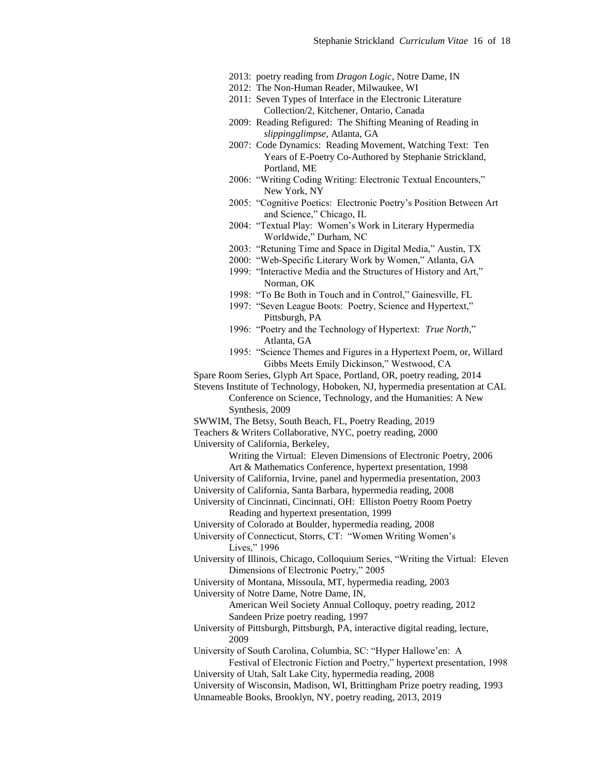- 2013: poetry reading from *Dragon Logic*, Notre Dame, IN
- 2012: The Non-Human Reader, Milwaukee, WI
- 2011: Seven Types of Interface in the Electronic Literature Collection/2, Kitchener, Ontario, Canada
- 2009: Reading Refigured: The Shifting Meaning of Reading in *slippingglimpse,* Atlanta, GA
- 2007: Code Dynamics: Reading Movement, Watching Text: Ten Years of E-Poetry Co-Authored by Stephanie Strickland, Portland, ME
- 2006: "Writing Coding Writing: Electronic Textual Encounters," New York, NY
- 2005: "Cognitive Poetics: Electronic Poetry's Position Between Art and Science," Chicago, IL
- 2004: "Textual Play: Women's Work in Literary Hypermedia Worldwide," Durham, NC
- 2003: "Retuning Time and Space in Digital Media," Austin, TX
- 2000: "Web-Specific Literary Work by Women," Atlanta, GA
- 1999: "Interactive Media and the Structures of History and Art," Norman, OK
- 1998: "To Be Both in Touch and in Control," Gainesville, FL
- 1997: "Seven League Boots: Poetry, Science and Hypertext," Pittsburgh, PA
- 1996: "Poetry and the Technology of Hypertext: *True North,*" Atlanta, GA
- 1995: "Science Themes and Figures in a Hypertext Poem, or, Willard Gibbs Meets Emily Dickinson," Westwood, CA
- Spare Room Series, Glyph Art Space, Portland, OR, poetry reading, 2014

Stevens Institute of Technology, Hoboken, NJ, hypermedia presentation at CAL Conference on Science, Technology, and the Humanities: A New Synthesis, 2009

SWWIM, The Betsy, South Beach, FL, Poetry Reading, 2019

University of California, Berkeley,

Writing the Virtual: Eleven Dimensions of Electronic Poetry, 2006 Art & Mathematics Conference, hypertext presentation, 1998

- University of California, Irvine, panel and hypermedia presentation, 2003
- University of California, Santa Barbara, hypermedia reading, 2008
- University of Cincinnati, Cincinnati, OH: Elliston Poetry Room Poetry Reading and hypertext presentation, 1999

University of Colorado at Boulder, hypermedia reading, 2008

University of Connecticut, Storrs, CT: "Women Writing Women's Lives," 1996

University of Illinois, Chicago, Colloquium Series, "Writing the Virtual: Eleven Dimensions of Electronic Poetry," 2005

University of Montana, Missoula, MT, hypermedia reading, 2003

University of Notre Dame, Notre Dame, IN,

American Weil Society Annual Colloquy, poetry reading, 2012 Sandeen Prize poetry reading, 1997

University of Pittsburgh, Pittsburgh, PA, interactive digital reading, lecture, 2009

University of South Carolina, Columbia, SC: "Hyper Hallowe'en: A

Festival of Electronic Fiction and Poetry," hypertext presentation, 1998 University of Utah, Salt Lake City, hypermedia reading, 2008

University of Wisconsin, Madison, WI, Brittingham Prize poetry reading, 1993 Unnameable Books, Brooklyn, NY, poetry reading, 2013, 2019

Teachers & Writers Collaborative, NYC, poetry reading, 2000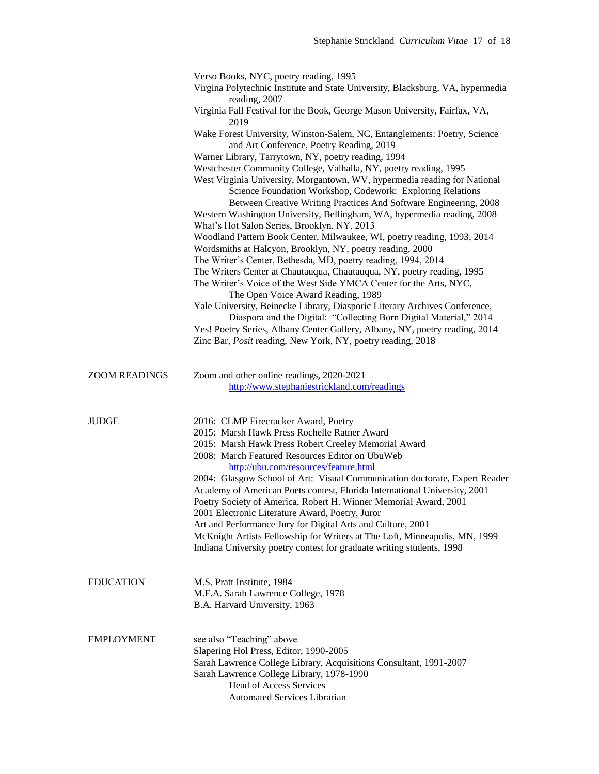|                      | Verso Books, NYC, poetry reading, 1995                                                                                                                                                                                                                                                  |
|----------------------|-----------------------------------------------------------------------------------------------------------------------------------------------------------------------------------------------------------------------------------------------------------------------------------------|
|                      | Virgina Polytechnic Institute and State University, Blacksburg, VA, hypermedia                                                                                                                                                                                                          |
|                      | reading, 2007<br>Virginia Fall Festival for the Book, George Mason University, Fairfax, VA,<br>2019                                                                                                                                                                                     |
|                      | Wake Forest University, Winston-Salem, NC, Entanglements: Poetry, Science                                                                                                                                                                                                               |
|                      | and Art Conference, Poetry Reading, 2019                                                                                                                                                                                                                                                |
|                      | Warner Library, Tarrytown, NY, poetry reading, 1994<br>Westchester Community College, Valhalla, NY, poetry reading, 1995                                                                                                                                                                |
|                      | West Virginia University, Morgantown, WV, hypermedia reading for National<br>Science Foundation Workshop, Codework: Exploring Relations<br>Between Creative Writing Practices And Software Engineering, 2008<br>Western Washington University, Bellingham, WA, hypermedia reading, 2008 |
|                      | What's Hot Salon Series, Brooklyn, NY, 2013                                                                                                                                                                                                                                             |
|                      | Woodland Pattern Book Center, Milwaukee, WI, poetry reading, 1993, 2014<br>Wordsmiths at Halcyon, Brooklyn, NY, poetry reading, 2000                                                                                                                                                    |
|                      | The Writer's Center, Bethesda, MD, poetry reading, 1994, 2014                                                                                                                                                                                                                           |
|                      | The Writers Center at Chautauqua, Chautauqua, NY, poetry reading, 1995<br>The Writer's Voice of the West Side YMCA Center for the Arts, NYC,                                                                                                                                            |
|                      | The Open Voice Award Reading, 1989<br>Yale University, Beinecke Library, Diasporic Literary Archives Conference,<br>Diaspora and the Digital: "Collecting Born Digital Material," 2014                                                                                                  |
|                      | Yes! Poetry Series, Albany Center Gallery, Albany, NY, poetry reading, 2014                                                                                                                                                                                                             |
|                      | Zinc Bar, Posit reading, New York, NY, poetry reading, 2018                                                                                                                                                                                                                             |
|                      |                                                                                                                                                                                                                                                                                         |
| <b>ZOOM READINGS</b> | Zoom and other online readings, 2020-2021                                                                                                                                                                                                                                               |
|                      | http://www.stephaniestrickland.com/readings                                                                                                                                                                                                                                             |
|                      |                                                                                                                                                                                                                                                                                         |
| <b>JUDGE</b>         | 2016: CLMP Firecracker Award, Poetry<br>2015: Marsh Hawk Press Rochelle Ratner Award                                                                                                                                                                                                    |
|                      | 2015: Marsh Hawk Press Robert Creeley Memorial Award                                                                                                                                                                                                                                    |
|                      | 2008: March Featured Resources Editor on UbuWeb                                                                                                                                                                                                                                         |
|                      | http://ubu.com/resources/feature.html                                                                                                                                                                                                                                                   |
|                      | 2004: Glasgow School of Art: Visual Communication doctorate, Expert Reader                                                                                                                                                                                                              |
|                      | Academy of American Poets contest, Florida International University, 2001<br>Poetry Society of America, Robert H. Winner Memorial Award, 2001                                                                                                                                           |
|                      | 2001 Electronic Literature Award, Poetry, Juror                                                                                                                                                                                                                                         |
|                      | Art and Performance Jury for Digital Arts and Culture, 2001                                                                                                                                                                                                                             |
|                      | McKnight Artists Fellowship for Writers at The Loft, Minneapolis, MN, 1999                                                                                                                                                                                                              |
|                      | Indiana University poetry contest for graduate writing students, 1998                                                                                                                                                                                                                   |
|                      |                                                                                                                                                                                                                                                                                         |
| <b>EDUCATION</b>     | M.S. Pratt Institute, 1984                                                                                                                                                                                                                                                              |
|                      | M.F.A. Sarah Lawrence College, 1978                                                                                                                                                                                                                                                     |
|                      | B.A. Harvard University, 1963                                                                                                                                                                                                                                                           |
|                      |                                                                                                                                                                                                                                                                                         |
| <b>EMPLOYMENT</b>    | see also "Teaching" above                                                                                                                                                                                                                                                               |
|                      | Slapering Hol Press, Editor, 1990-2005                                                                                                                                                                                                                                                  |
|                      | Sarah Lawrence College Library, Acquisitions Consultant, 1991-2007                                                                                                                                                                                                                      |
|                      | Sarah Lawrence College Library, 1978-1990                                                                                                                                                                                                                                               |
|                      | <b>Head of Access Services</b>                                                                                                                                                                                                                                                          |
|                      | <b>Automated Services Librarian</b>                                                                                                                                                                                                                                                     |